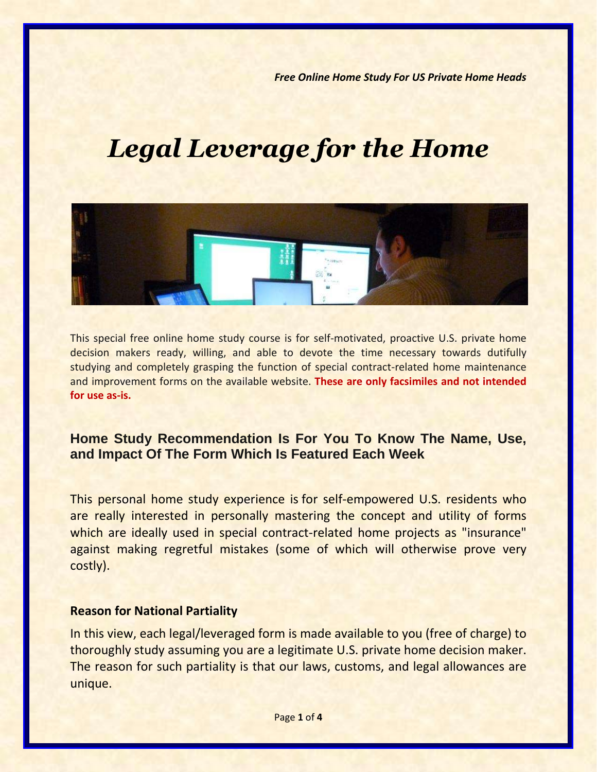*Free Online Home Study For US Private Home Heads*

# *Legal Leverage for the Home*



This special free online home study course is for self-motivated, proactive U.S. private home decision makers ready, willing, and able to devote the time necessary towards dutifully studying and completely grasping the function of special contract-related home maintenance and improvement forms on the available website. **These are only facsimiles and not intended for use as-is.**

## **Home Study Recommendation Is For You To Know The Name, Use, and Impact Of The Form Which Is Featured Each Week**

This personal home study experience is for self-empowered U.S. residents who are really interested in personally mastering the concept and utility of forms which are ideally used in special contract-related home projects as "insurance" against making regretful mistakes (some of which will otherwise prove very costly).

#### **Reason for National Partiality**

In this view, each legal/leveraged form is made available to you (free of charge) to thoroughly study assuming you are a legitimate U.S. private home decision maker. The reason for such partiality is that our laws, customs, and legal allowances are unique.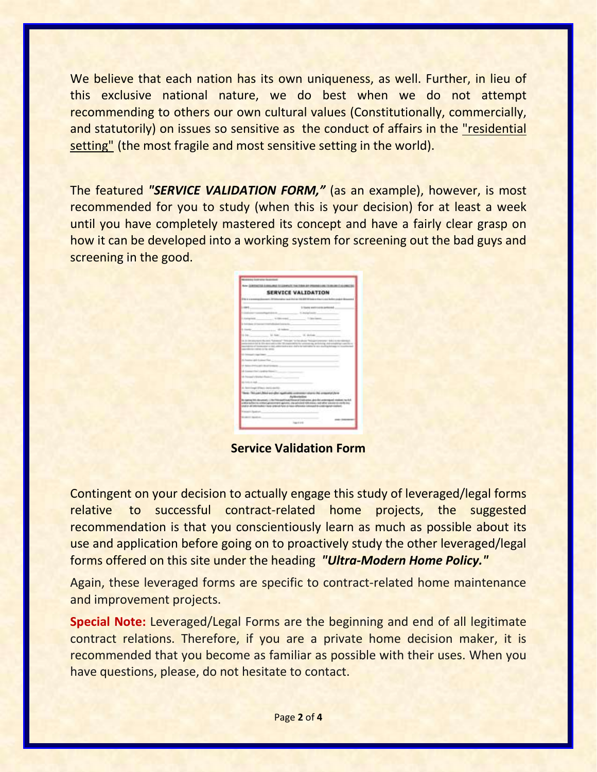We believe that each nation has its own uniqueness, as well. Further, in lieu of this exclusive national nature, we do best when we do not attempt recommending to others our own cultural values (Constitutionally, commercially, and statutorily) on issues so sensitive as the conduct of affairs in the "residential setting" (the most fragile and most sensitive setting in the world).

The featured *"SERVICE VALIDATION FORM,"* (as an example), however, is most recommended for you to study (when this is your decision) for at least a week until you have completely mastered its concept and have a fairly clear grasp on how it can be developed into a working system for screening out the bad guys and screening in the good.

|                    | ANNUARIA TO COMPANY TAN TORN                                                                                                                      | <b>PRODUCED A CAR 1714 AN</b>                                                                                    |
|--------------------|---------------------------------------------------------------------------------------------------------------------------------------------------|------------------------------------------------------------------------------------------------------------------|
| SERVICE VALIDATION |                                                                                                                                                   |                                                                                                                  |
|                    |                                                                                                                                                   |                                                                                                                  |
| m                  |                                                                                                                                                   | frame and insum perioded.                                                                                        |
|                    |                                                                                                                                                   |                                                                                                                  |
|                    |                                                                                                                                                   | las is                                                                                                           |
|                    |                                                                                                                                                   |                                                                                                                  |
|                    | 15.549                                                                                                                                            |                                                                                                                  |
| Lin.               | U. Kee-                                                                                                                                           | U. British                                                                                                       |
|                    | --                                                                                                                                                | and an administrator and data between the set daylight                                                           |
|                    |                                                                                                                                                   |                                                                                                                  |
|                    |                                                                                                                                                   |                                                                                                                  |
| Agency Attn. Also  | <b>Circle International</b><br><b>Latitude Advertising</b><br>cios contad government general, one adviser<br>Holiday Findale American April 22-Au | <b>Londonto</b> vida<br>to this company's home<br>will be one.g<br><b>Manager Architect Manager of Resources</b> |
|                    |                                                                                                                                                   |                                                                                                                  |

**Service Validation Form**

Contingent on your decision to actually engage this study of leveraged/legal forms relative to successful contract-related home projects, the suggested recommendation is that you conscientiously learn as much as possible about its use and application before going on to proactively study the other leveraged/legal forms offered on this site under the heading *"Ultra-Modern Home Policy."*

Again, these leveraged forms are specific to contract-related home maintenance and improvement projects.

**Special Note:** Leveraged/Legal Forms are the beginning and end of all legitimate contract relations. Therefore, if you are a private home decision maker, it is recommended that you become as familiar as possible with their uses. When you have questions, please, do not hesitate to contact.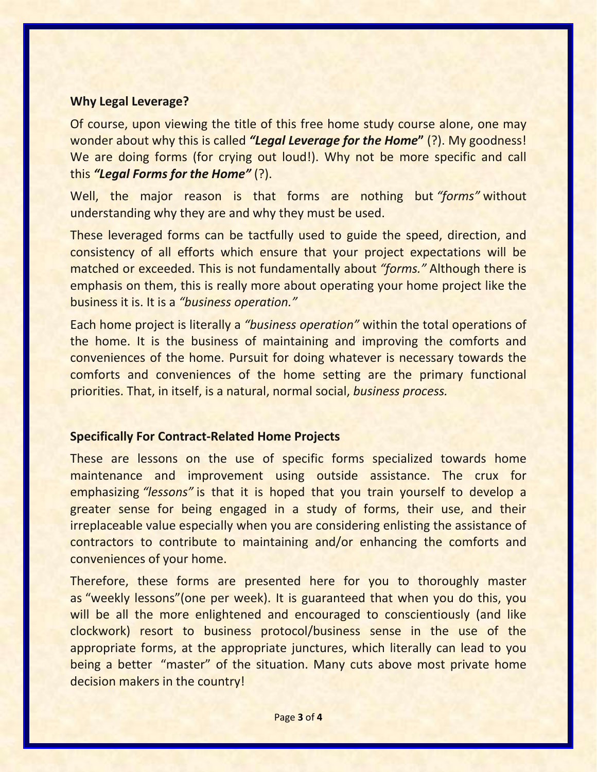#### **Why Legal Leverage?**

Of course, upon viewing the title of this free home study course alone, one may wonder about why this is called *"Legal Leverage for the Home***"** (?). My goodness! We are doing forms (for crying out loud!). Why not be more specific and call this *"Legal Forms for the Home"* (?).

Well, the major reason is that forms are nothing but *"forms"* without understanding why they are and why they must be used.

These leveraged forms can be tactfully used to guide the speed, direction, and consistency of all efforts which ensure that your project expectations will be matched or exceeded. This is not fundamentally about *"forms."* Although there is emphasis on them, this is really more about operating your home project like the business it is. It is a *"business operation."*

Each home project is literally a *"business operation"* within the total operations of the home. It is the business of maintaining and improving the comforts and conveniences of the home. Pursuit for doing whatever is necessary towards the comforts and conveniences of the home setting are the primary functional priorities. That, in itself, is a natural, normal social, *business process.*

### **Specifically For Contract-Related Home Projects**

These are lessons on the use of specific forms specialized towards home maintenance and improvement using outside assistance. The crux for emphasizing *"lessons"* is that it is hoped that you train yourself to develop a greater sense for being engaged in a study of forms, their use, and their irreplaceable value especially when you are considering enlisting the assistance of contractors to contribute to maintaining and/or enhancing the comforts and conveniences of your home.

Therefore, these forms are presented here for you to thoroughly master as "weekly lessons"(one per week). It is guaranteed that when you do this, you will be all the more enlightened and encouraged to conscientiously (and like clockwork) resort to business protocol/business sense in the use of the appropriate forms, at the appropriate junctures, which literally can lead to you being a better "master" of the situation. Many cuts above most private home decision makers in the country!